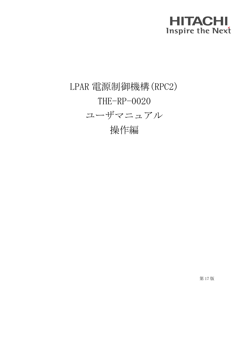## **HITACHI Inspire the Next**

## LPAR 電源制御機構(RPC2) THE-RP-0020 ユーザマニュアル 操作編

第 17 版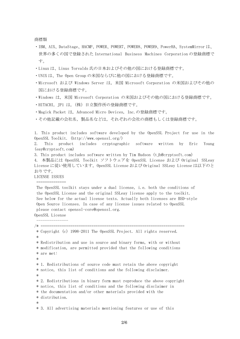商標類

- ・IBM、AIX、DataStage、HACMP、POWER、POWER7、POWER8、POWER9、PowerHA、SystemMirror は、 世界の多くの国で登録された International Business Machines Corporation の登録商標で す。
- ・Linux は、Linus Torvalds 氏の日本およびその他の国における登録商標です。
- ・UNIX は、The Open Group の米国ならびに他の国における登録商標です。
- ・Microsoft および Windows Server は,米国 Microsoft Corporation の米国およびその他の 国における登録商標です。
- ・Windows は,米国 Microsoft Corporation の米国およびその他の国における登録商標です。
- ・HITACHI, JP1 は,(株)日立製作所の登録商標です。
- ・Magick Packet は, Advanced Micro Devices, Inc.の登録商標です。
- ・その他記載の会社名,製品名などは,それぞれの会社の商標もしくは登録商標です。

1. This product includes software developed by the OpenSSL Project for use in the OpenSSL Toolkit. (http://www.openssl.org/)

2. This product includes cryptographic software written by Eric Young (eay@cryptsoft.com)

3. This product includes software written by Tim Hudson (tjh@cryptsoft.com)

4. 本製品には OpenSSL Toolkit ソフトウェアを OpenSSL License および Original SSLeay License に従い使用しています。OpenSSL License および Original SSLeay License は以下のと おりです。

LICENSE ISSUES ==============

The OpenSSL toolkit stays under a dual license, i.e. both the conditions of the OpenSSL License and the original SSLeay license apply to the toolkit. See below for the actual license texts. Actually both licenses are BSD-style Open Source licenses. In case of any license issues related to OpenSSL please contact openssl-core@openssl.org. OpenSSL License

---------------

/\* ==================================================================== \* Copyright (c) 1998-2011 The OpenSSL Project. All rights reserved. \* \* Redistribution and use in source and binary forms, with or without \* modification, are permitted provided that the following conditions \* are met: \* \* 1. Redistributions of source code must retain the above copyright \* notice, this list of conditions and the following disclaimer. \* \* 2. Redistributions in binary form must reproduce the above copyright \* notice, this list of conditions and the following disclaimer in \* the documentation and/or other materials provided with the \* distribution. \* \* 3. All advertising materials mentioning features or use of this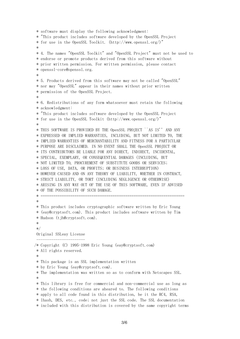```
* software must display the following acknowledgment:
* "This product includes software developed by the OpenSSL Project
* for use in the OpenSSL Toolkit. (http://www.openssl.org/)"
 *
* 4. The names "OpenSSL Toolkit" and "OpenSSL Project" must not be used to
* endorse or promote products derived from this software without
* prior written permission. For written permission, please contact
* openssl-core@openssl.org.
*
* 5. Products derived from this software may not be called "OpenSSL"
* nor may "OpenSSL" appear in their names without prior written
* permission of the OpenSSL Project.
 *
* 6. Redistributions of any form whatsoever must retain the following
* acknowledgment:
* "This product includes software developed by the OpenSSL Project
* for use in the OpenSSL Toolkit (http://www.openssl.org/)"
 *
* THIS SOFTWARE IS PROVIDED BY THE OpenSSL PROJECT ``AS IS'' AND ANY
* EXPRESSED OR IMPLIED WARRANTIES, INCLUDING, BUT NOT LIMITED TO, THE
* IMPLIED WARRANTIES OF MERCHANTABILITY AND FITNESS FOR A PARTICULAR
* PURPOSE ARE DISCLAIMED. IN NO EVENT SHALL THE OpenSSL PROJECT OR
* ITS CONTRIBUTORS BE LIABLE FOR ANY DIRECT, INDIRECT, INCIDENTAL,
* SPECIAL, EXEMPLARY, OR CONSEQUENTIAL DAMAGES (INCLUDING, BUT
* NOT LIMITED TO, PROCUREMENT OF SUBSTITUTE GOODS OR SERVICES;
* LOSS OF USE, DATA, OR PROFITS; OR BUSINESS INTERRUPTION)
* HOWEVER CAUSED AND ON ANY THEORY OF LIABILITY, WHETHER IN CONTRACT,
* STRICT LIABILITY, OR TORT (INCLUDING NEGLIGENCE OR OTHERWISE)
* ARISING IN ANY WAY OUT OF THE USE OF THIS SOFTWARE, EVEN IF ADVISED
* OF THE POSSIBILITY OF SUCH DAMAGE.
 * ====================================================================
 *
* This product includes cryptographic software written by Eric Young
* (eay@cryptsoft.com). This product includes software written by Tim
* Hudson (tjh@cryptsoft.com).
*
*/
Original SSLeay License
 -----------------------
/* Copyright (C) 1995-1998 Eric Young (eay@cryptsoft.com)
* All rights reserved.
*
* This package is an SSL implementation written
* by Eric Young (eay@cryptsoft.com).
* The implementation was written so as to conform with Netscapes SSL.
 *
* This library is free for commercial and non-commercial use as long as
* the following conditions are aheared to. The following conditions
* apply to all code found in this distribution, be it the RC4, RSA,
* lhash, DES, etc., code; not just the SSL code. The SSL documentation
* included with this distribution is covered by the same copyright terms
```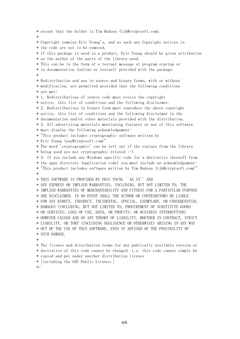\* except that the holder is Tim Hudson (tjh@cryptsoft.com). \* \* Copyright remains Eric Young's, and as such any Copyright notices in \* the code are not to be removed. \* If this package is used in a product, Eric Young should be given attribution \* as the author of the parts of the library used. \* This can be in the form of a textual message at program startup or \* in documentation (online or textual) provided with the package. \* \* Redistribution and use in source and binary forms, with or without \* modification, are permitted provided that the following conditions \* are met: \* 1. Redistributions of source code must retain the copyright \* notice, this list of conditions and the following disclaimer. \* 2. Redistributions in binary form must reproduce the above copyright \* notice, this list of conditions and the following disclaimer in the \* documentation and/or other materials provided with the distribution. \* 3. All advertising materials mentioning features or use of this software \* must display the following acknowledgement: \* "This product includes cryptographic software written by \* Eric Young (eay@cryptsoft.com)" \* The word 'cryptographic' can be left out if the rouines from the library \* being used are not cryptographic related :-). \* 4. If you include any Windows specific code (or a derivative thereof) from \* the apps directory (application code) you must include an acknowledgement: \* "This product includes software written by Tim Hudson (tjh@cryptsoft.com)" \* \* THIS SOFTWARE IS PROVIDED BY ERIC YOUNG ``AS IS'' AND \* ANY EXPRESS OR IMPLIED WARRANTIES, INCLUDING, BUT NOT LIMITED TO, THE \* IMPLIED WARRANTIES OF MERCHANTABILITY AND FITNESS FOR A PARTICULAR PURPOSE \* ARE DISCLAIMED. IN NO EVENT SHALL THE AUTHOR OR CONTRIBUTORS BE LIABLE \* FOR ANY DIRECT, INDIRECT, INCIDENTAL, SPECIAL, EXEMPLARY, OR CONSEQUENTIAL \* DAMAGES (INCLUDING, BUT NOT LIMITED TO, PROCUREMENT OF SUBSTITUTE GOODS \* OR SERVICES; LOSS OF USE, DATA, OR PROFITS; OR BUSINESS INTERRUPTION) \* HOWEVER CAUSED AND ON ANY THEORY OF LIABILITY, WHETHER IN CONTRACT, STRICT \* LIABILITY, OR TORT (INCLUDING NEGLIGENCE OR OTHERWISE) ARISING IN ANY WAY \* OUT OF THE USE OF THIS SOFTWARE, EVEN IF ADVISED OF THE POSSIBILITY OF \* SUCH DAMAGE. \* \* The licence and distribution terms for any publically available version or \* derivative of this code cannot be changed. i.e. this code cannot simply be \* copied and put under another distribution licence \* [including the GNU Public Licence.]

\*/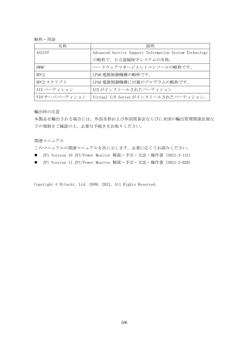略称・用語

| 名称               | 説明                                                     |
|------------------|--------------------------------------------------------|
| ASSIST           | Advanced Service Support Information System Technology |
|                  | の略称で、日立遠隔保守システムの名称。                                    |
| <b>HWMC</b>      | ハードウェアマネージメントコンソールの略称です。                               |
| RPC <sub>2</sub> | LPAR 電源制御機構の略称です。                                      |
| RPC2 スクリプト       | LPAR 電源制御機構に付属のプログラムの略称です。                             |
| AIX パーティション      | AIX がインストールされたパーティション                                  |
| VIO サーバパーティション   | Virtual I/0 Server がインストールされたパーティション。                  |

輸出時の注意

本製品を輸出される場合には、外国為替および外国貿易法ならびに米国の輸出管理関連法規な どの規制をご確認の上、必要な手続きをお取りください。

関連マニュアル

このマニュアルの関連マニュアルを次に示します。必要に応じてお読みください。

- JP1 Version 10 JP1/Power Monitor 解説・手引・文法・操作書 (3021-3-131)
- JP1 Version 11 JP1/Power Monitor 解説・手引・文法・操作書 (3021-3-B28)

Copyright © Hitachi, Ltd. 2009, 2021, All Rights Reserved.